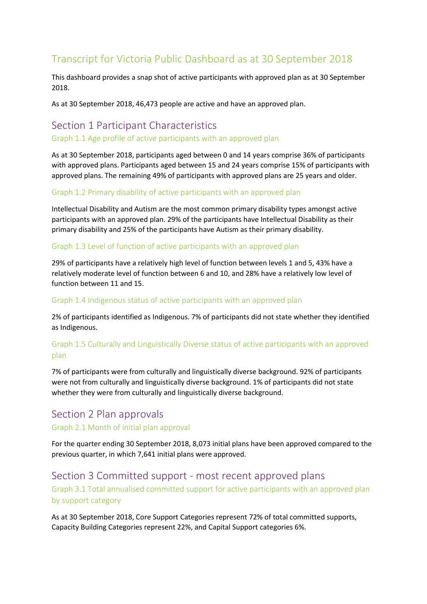# Transcript for Victoria Public Dashboard as at 30 September 2018

This dashboard provides a snap shot of active participants with approved plan as at 30 September 2018.

As at 30 September 2018, 46,473 people are active and have an approved plan.

# Section 1 Participant Characteristics

#### Graph 1.1 Age profile of active participants with an approved plan

As at 30 September 2018, participants aged between 0 and 14 years comprise 36% of participants with approved plans. Participants aged between 15 and 24 years comprise 15% of participants with approved plans. The remaining 49% of participants with approved plans are 25 years and older.

## Graph 1.2 Primary disability of active participants with an approved plan

Intellectual Disability and Autism are the most common primary disability types amongst active participants with an approved plan. 29% of the participants have Intellectual Disability as their primary disability and 25% of the participants have Autism as their primary disability.

## Graph 1.3 Level of function of active participants with an approved plan

29% of participants have a relatively high level of function between levels 1 and 5, 43% have a relatively moderate level of function between 6 and 10, and 28% have a relatively low level of function between 11 and 15.

#### Graph 1.4 Indigenous status of active participants with an approved plan

2% of participants identified as Indigenous. 7% of participants did not state whether they identified as Indigenous.

# Graph 1.5 Culturally and Linguistically Diverse status of active participants with an approved plan

7% of participants were from culturally and linguistically diverse background. 92% of participants were not from culturally and linguistically diverse background. 1% of participants did not state whether they were from culturally and linguistically diverse background.

# Section 2 Plan approvals

## Graph 2.1 Month of initial plan approval

For the quarter ending 30 September 2018, 8,073 initial plans have been approved compared to the previous quarter, in which 7,641 initial plans were approved.

# Section 3 Committed support - most recent approved plans Graph 3.1 Total annualised committed support for active participants with an approved plan by support category

As at 30 September 2018, Core Support Categories represent 72% of total committed supports, Capacity Building Categories represent 22%, and Capital Support categories 6%.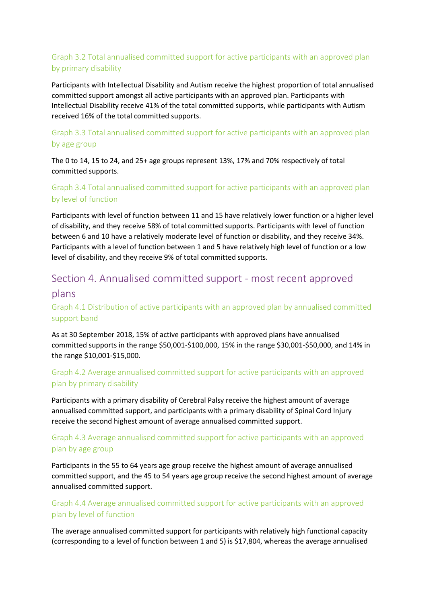# Graph 3.2 Total annualised committed support for active participants with an approved plan by primary disability

Participants with Intellectual Disability and Autism receive the highest proportion of total annualised committed support amongst all active participants with an approved plan. Participants with Intellectual Disability receive 41% of the total committed supports, while participants with Autism received 16% of the total committed supports.

# Graph 3.3 Total annualised committed support for active participants with an approved plan by age group

The 0 to 14, 15 to 24, and 25+ age groups represent 13%, 17% and 70% respectively of total committed supports.

# Graph 3.4 Total annualised committed support for active participants with an approved plan by level of function

Participants with level of function between 11 and 15 have relatively lower function or a higher level of disability, and they receive 58% of total committed supports. Participants with level of function between 6 and 10 have a relatively moderate level of function or disability, and they receive 34%. Participants with a level of function between 1 and 5 have relatively high level of function or a low level of disability, and they receive 9% of total committed supports.

# Section 4. Annualised committed support - most recent approved

# plans

# Graph 4.1 Distribution of active participants with an approved plan by annualised committed support band

As at 30 September 2018, 15% of active participants with approved plans have annualised committed supports in the range \$50,001-\$100,000, 15% in the range \$30,001-\$50,000, and 14% in the range \$10,001-\$15,000.

# Graph 4.2 Average annualised committed support for active participants with an approved plan by primary disability

Participants with a primary disability of Cerebral Palsy receive the highest amount of average annualised committed support, and participants with a primary disability of Spinal Cord Injury receive the second highest amount of average annualised committed support.

# Graph 4.3 Average annualised committed support for active participants with an approved plan by age group

Participants in the 55 to 64 years age group receive the highest amount of average annualised committed support, and the 45 to 54 years age group receive the second highest amount of average annualised committed support.

# Graph 4.4 Average annualised committed support for active participants with an approved plan by level of function

The average annualised committed support for participants with relatively high functional capacity (corresponding to a level of function between 1 and 5) is \$17,804, whereas the average annualised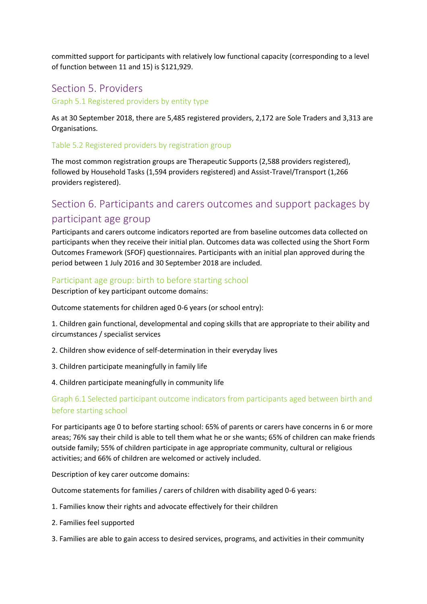committed support for participants with relatively low functional capacity (corresponding to a level of function between 11 and 15) is \$121,929.

# Section 5. Providers

Graph 5.1 Registered providers by entity type

As at 30 September 2018, there are 5,485 registered providers, 2,172 are Sole Traders and 3,313 are Organisations.

#### Table 5.2 Registered providers by registration group

The most common registration groups are Therapeutic Supports (2,588 providers registered), followed by Household Tasks (1,594 providers registered) and Assist-Travel/Transport (1,266 providers registered).

# Section 6. Participants and carers outcomes and support packages by participant age group

Participants and carers outcome indicators reported are from baseline outcomes data collected on participants when they receive their initial plan. Outcomes data was collected using the Short Form Outcomes Framework (SFOF) questionnaires. Participants with an initial plan approved during the period between 1 July 2016 and 30 September 2018 are included.

#### Participant age group: birth to before starting school

Description of key participant outcome domains:

Outcome statements for children aged 0-6 years (or school entry):

1. Children gain functional, developmental and coping skills that are appropriate to their ability and circumstances / specialist services

- 2. Children show evidence of self-determination in their everyday lives
- 3. Children participate meaningfully in family life
- 4. Children participate meaningfully in community life

## Graph 6.1 Selected participant outcome indicators from participants aged between birth and before starting school

For participants age 0 to before starting school: 65% of parents or carers have concerns in 6 or more areas; 76% say their child is able to tell them what he or she wants; 65% of children can make friends outside family; 55% of children participate in age appropriate community, cultural or religious activities; and 66% of children are welcomed or actively included.

Description of key carer outcome domains:

Outcome statements for families / carers of children with disability aged 0-6 years:

- 1. Families know their rights and advocate effectively for their children
- 2. Families feel supported
- 3. Families are able to gain access to desired services, programs, and activities in their community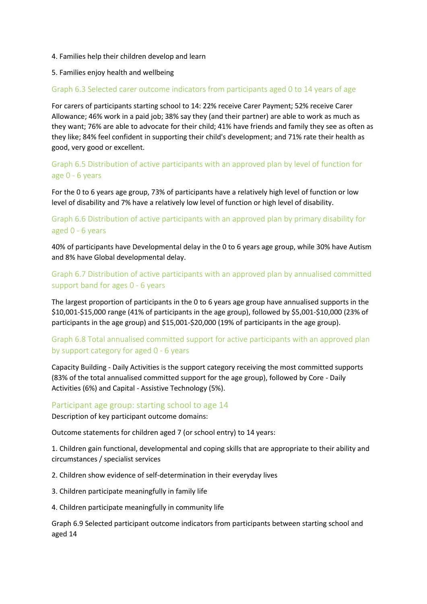#### 4. Families help their children develop and learn

#### 5. Families enjoy health and wellbeing

#### Graph 6.3 Selected carer outcome indicators from participants aged 0 to 14 years of age

For carers of participants starting school to 14: 22% receive Carer Payment; 52% receive Carer Allowance; 46% work in a paid job; 38% say they (and their partner) are able to work as much as they want; 76% are able to advocate for their child; 41% have friends and family they see as often as they like; 84% feel confident in supporting their child's development; and 71% rate their health as good, very good or excellent.

Graph 6.5 Distribution of active participants with an approved plan by level of function for age 0 - 6 years

For the 0 to 6 years age group, 73% of participants have a relatively high level of function or low level of disability and 7% have a relatively low level of function or high level of disability.

# Graph 6.6 Distribution of active participants with an approved plan by primary disability for aged 0 - 6 years

40% of participants have Developmental delay in the 0 to 6 years age group, while 30% have Autism and 8% have Global developmental delay.

# Graph 6.7 Distribution of active participants with an approved plan by annualised committed support band for ages 0 - 6 years

The largest proportion of participants in the 0 to 6 years age group have annualised supports in the \$10,001-\$15,000 range (41% of participants in the age group), followed by \$5,001-\$10,000 (23% of participants in the age group) and \$15,001-\$20,000 (19% of participants in the age group).

# Graph 6.8 Total annualised committed support for active participants with an approved plan by support category for aged 0 - 6 years

Capacity Building - Daily Activities is the support category receiving the most committed supports (83% of the total annualised committed support for the age group), followed by Core - Daily Activities (6%) and Capital - Assistive Technology (5%).

#### Participant age group: starting school to age 14

Description of key participant outcome domains:

Outcome statements for children aged 7 (or school entry) to 14 years:

1. Children gain functional, developmental and coping skills that are appropriate to their ability and circumstances / specialist services

2. Children show evidence of self-determination in their everyday lives

3. Children participate meaningfully in family life

4. Children participate meaningfully in community life

Graph 6.9 Selected participant outcome indicators from participants between starting school and aged 14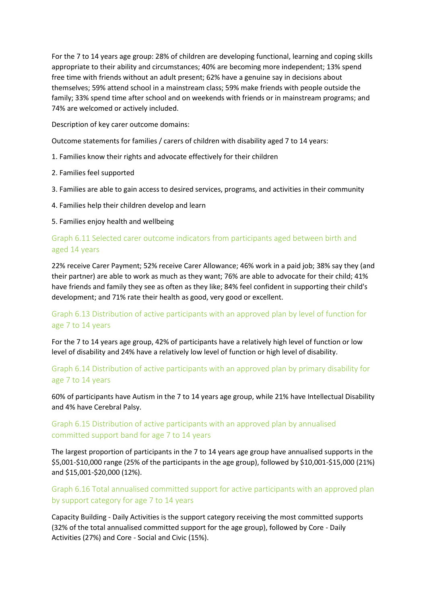For the 7 to 14 years age group: 28% of children are developing functional, learning and coping skills appropriate to their ability and circumstances; 40% are becoming more independent; 13% spend free time with friends without an adult present; 62% have a genuine say in decisions about themselves; 59% attend school in a mainstream class; 59% make friends with people outside the family; 33% spend time after school and on weekends with friends or in mainstream programs; and 74% are welcomed or actively included.

Description of key carer outcome domains:

Outcome statements for families / carers of children with disability aged 7 to 14 years:

- 1. Families know their rights and advocate effectively for their children
- 2. Families feel supported
- 3. Families are able to gain access to desired services, programs, and activities in their community
- 4. Families help their children develop and learn

5. Families enjoy health and wellbeing

## Graph 6.11 Selected carer outcome indicators from participants aged between birth and aged 14 years

22% receive Carer Payment; 52% receive Carer Allowance; 46% work in a paid job; 38% say they (and their partner) are able to work as much as they want; 76% are able to advocate for their child; 41% have friends and family they see as often as they like; 84% feel confident in supporting their child's development; and 71% rate their health as good, very good or excellent.

# Graph 6.13 Distribution of active participants with an approved plan by level of function for age 7 to 14 years

For the 7 to 14 years age group, 42% of participants have a relatively high level of function or low level of disability and 24% have a relatively low level of function or high level of disability.

# Graph 6.14 Distribution of active participants with an approved plan by primary disability for age 7 to 14 years

60% of participants have Autism in the 7 to 14 years age group, while 21% have Intellectual Disability and 4% have Cerebral Palsy.

# Graph 6.15 Distribution of active participants with an approved plan by annualised committed support band for age 7 to 14 years

The largest proportion of participants in the 7 to 14 years age group have annualised supports in the \$5,001-\$10,000 range (25% of the participants in the age group), followed by \$10,001-\$15,000 (21%) and \$15,001-\$20,000 (12%).

# Graph 6.16 Total annualised committed support for active participants with an approved plan by support category for age 7 to 14 years

Capacity Building - Daily Activities is the support category receiving the most committed supports (32% of the total annualised committed support for the age group), followed by Core - Daily Activities (27%) and Core - Social and Civic (15%).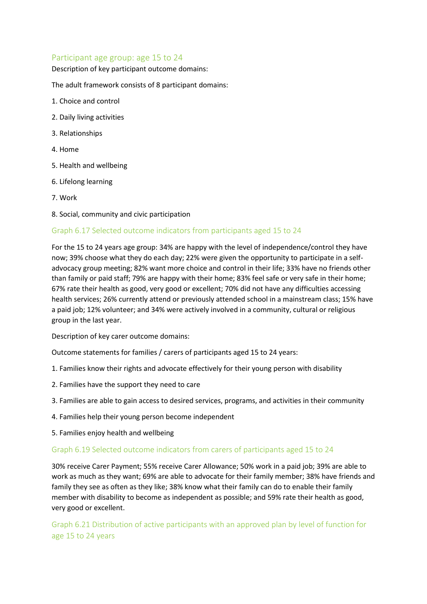## Participant age group: age 15 to 24

Description of key participant outcome domains:

The adult framework consists of 8 participant domains:

- 1. Choice and control
- 2. Daily living activities
- 3. Relationships
- 4. Home
- 5. Health and wellbeing
- 6. Lifelong learning
- 7. Work
- 8. Social, community and civic participation

#### Graph 6.17 Selected outcome indicators from participants aged 15 to 24

For the 15 to 24 years age group: 34% are happy with the level of independence/control they have now; 39% choose what they do each day; 22% were given the opportunity to participate in a selfadvocacy group meeting; 82% want more choice and control in their life; 33% have no friends other than family or paid staff; 79% are happy with their home; 83% feel safe or very safe in their home; 67% rate their health as good, very good or excellent; 70% did not have any difficulties accessing health services; 26% currently attend or previously attended school in a mainstream class; 15% have a paid job; 12% volunteer; and 34% were actively involved in a community, cultural or religious group in the last year.

Description of key carer outcome domains:

Outcome statements for families / carers of participants aged 15 to 24 years:

- 1. Families know their rights and advocate effectively for their young person with disability
- 2. Families have the support they need to care
- 3. Families are able to gain access to desired services, programs, and activities in their community
- 4. Families help their young person become independent
- 5. Families enjoy health and wellbeing

#### Graph 6.19 Selected outcome indicators from carers of participants aged 15 to 24

30% receive Carer Payment; 55% receive Carer Allowance; 50% work in a paid job; 39% are able to work as much as they want; 69% are able to advocate for their family member; 38% have friends and family they see as often as they like; 38% know what their family can do to enable their family member with disability to become as independent as possible; and 59% rate their health as good, very good or excellent.

Graph 6.21 Distribution of active participants with an approved plan by level of function for age 15 to 24 years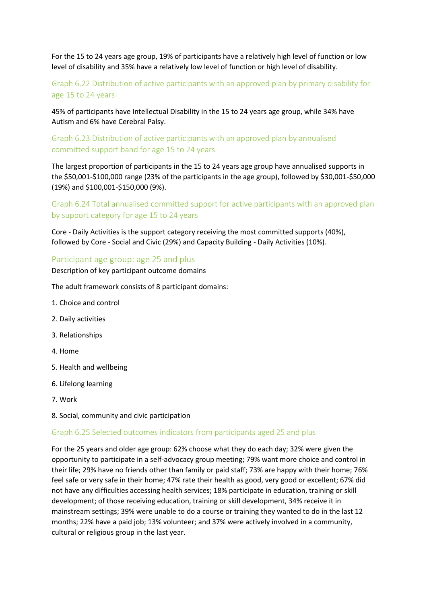For the 15 to 24 years age group, 19% of participants have a relatively high level of function or low level of disability and 35% have a relatively low level of function or high level of disability.

# Graph 6.22 Distribution of active participants with an approved plan by primary disability for age 15 to 24 years

45% of participants have Intellectual Disability in the 15 to 24 years age group, while 34% have Autism and 6% have Cerebral Palsy.

## Graph 6.23 Distribution of active participants with an approved plan by annualised committed support band for age 15 to 24 years

The largest proportion of participants in the 15 to 24 years age group have annualised supports in the \$50,001-\$100,000 range (23% of the participants in the age group), followed by \$30,001-\$50,000 (19%) and \$100,001-\$150,000 (9%).

# Graph 6.24 Total annualised committed support for active participants with an approved plan by support category for age 15 to 24 years

Core - Daily Activities is the support category receiving the most committed supports (40%), followed by Core - Social and Civic (29%) and Capacity Building - Daily Activities (10%).

## Participant age group: age 25 and plus

Description of key participant outcome domains

The adult framework consists of 8 participant domains:

- 1. Choice and control
- 2. Daily activities
- 3. Relationships
- 4. Home
- 5. Health and wellbeing
- 6. Lifelong learning
- 7. Work
- 8. Social, community and civic participation

#### Graph 6.25 Selected outcomes indicators from participants aged 25 and plus

For the 25 years and older age group: 62% choose what they do each day; 32% were given the opportunity to participate in a self-advocacy group meeting; 79% want more choice and control in their life; 29% have no friends other than family or paid staff; 73% are happy with their home; 76% feel safe or very safe in their home; 47% rate their health as good, very good or excellent; 67% did not have any difficulties accessing health services; 18% participate in education, training or skill development; of those receiving education, training or skill development, 34% receive it in mainstream settings; 39% were unable to do a course or training they wanted to do in the last 12 months; 22% have a paid job; 13% volunteer; and 37% were actively involved in a community, cultural or religious group in the last year.